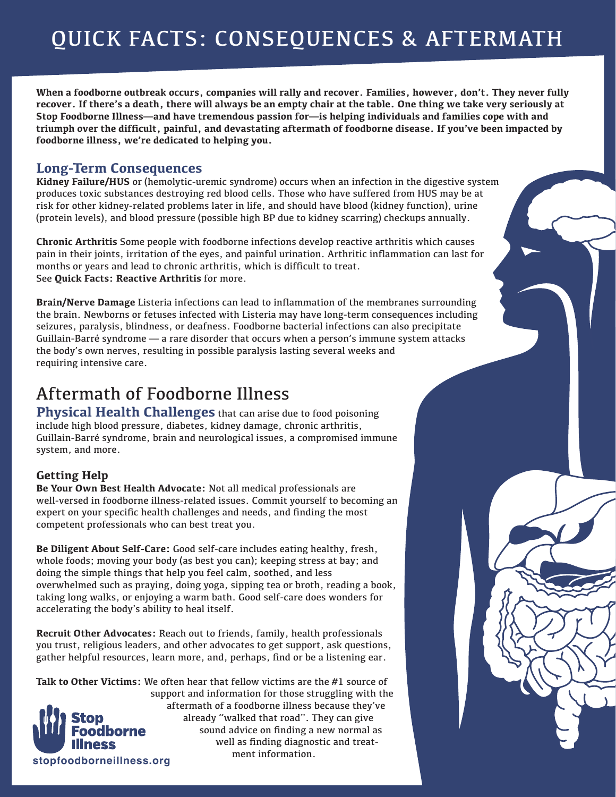**When a foodborne outbreak occurs, companies will rally and recover. Families, however, don't. They never fully recover. If there's a death, there will always be an empty chair at the table. One thing we take very seriously at Stop Foodborne Illness—and have tremendous passion for—is helping individuals and families cope with and triumph over the difficult, painful, and devastating aftermath of foodborne disease. If you've been impacted by foodborne illness, we're dedicated to helping you.**

# **Long-Term Consequences**

**Kidney Failure/HUS** or (hemolytic-uremic syndrome) occurs when an infection in the digestive system produces toxic substances destroying red blood cells. Those who have suffered from HUS may be at risk for other kidney-related problems later in life, and should have blood (kidney function), urine (protein levels), and blood pressure (possible high BP due to kidney scarring) checkups annually.

**Chronic Arthritis** Some people with foodborne infections develop reactive arthritis which causes pain in their joints, irritation of the eyes, and painful urination. Arthritic inflammation can last for months or years and lead to chronic arthritis, which is difficult to treat. See **Quick Facts: Reactive Arthritis** for more.

**Brain/Nerve Damage** Listeria infections can lead to inflammation of the membranes surrounding the brain. Newborns or fetuses infected with Listeria may have long-term consequences including seizures, paralysis, blindness, or deafness. Foodborne bacterial infections can also precipitate Guillain-Barré syndrome — a rare disorder that occurs when a person's immune system attacks the body's own nerves, resulting in possible paralysis lasting several weeks and requiring intensive care.

# Aftermath of Foodborne Illness

**Physical Health Challenges** that can arise due to food poisoning include high blood pressure, diabetes, kidney damage, chronic arthritis, Guillain-Barré syndrome, brain and neurological issues, a compromised immune system, and more.

# **Getting Help**

**Be Your Own Best Health Advocate:** Not all medical professionals are well-versed in foodborne illness-related issues. Commit yourself to becoming an expert on your specific health challenges and needs, and finding the most competent professionals who can best treat you.

**Be Diligent About Self-Care:** Good self-care includes eating healthy, fresh, whole foods; moving your body (as best you can); keeping stress at bay; and doing the simple things that help you feel calm, soothed, and less overwhelmed such as praying, doing yoga, sipping tea or broth, reading a book, taking long walks, or enjoying a warm bath. Good self-care does wonders for accelerating the body's ability to heal itself.

**Recruit Other Advocates:** Reach out to friends, family, health professionals you trust, religious leaders, and other advocates to get support, ask questions, gather helpful resources, learn more, and, perhaps, find or be a listening ear.

**stopfoodborneillness.org Talk to Other Victims:** We often hear that fellow victims are the #1 source of support and information for those struggling with the aftermath of a foodborne illness because they've already "walked that road". They can give sound advice on finding a new normal as well as finding diagnostic and treatment information.